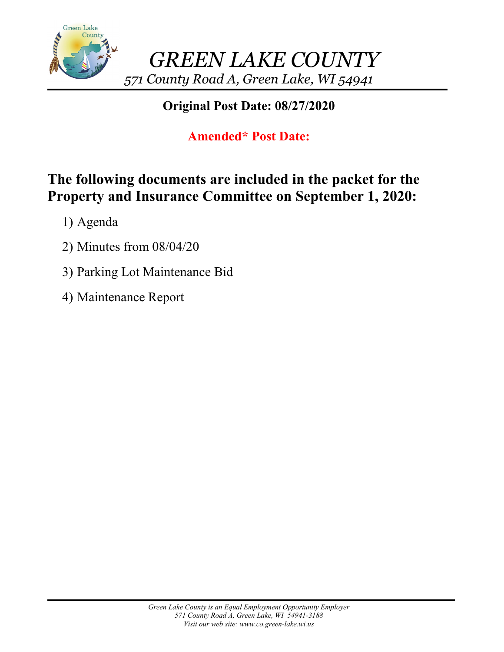

## **Original Post Date: 08/27/2020**

# **Amended\* Post Date:**

# **The following documents are included in the packet for the Property and Insurance Committee on September 1, 2020:**

- 1) Agenda
- 2) Minutes from 08/04/20
- 3) Parking Lot Maintenance Bid
- 4) Maintenance Report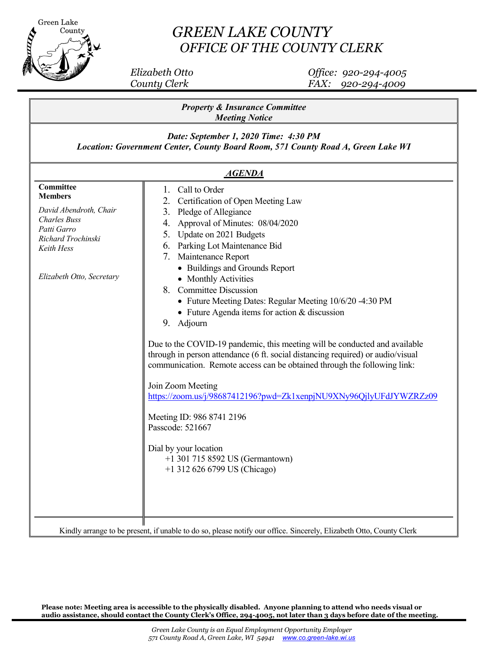

## *GREEN LAKE COUNTY OFFICE OF THE COUNTY CLERK*

 *Elizabeth Otto Office: 920-294-4005 County Clerk FAX: 920-294-4009*

| Date: September 1, 2020 Time: 4:30 PM<br>Location: Government Center, County Board Room, 571 County Road A, Green Lake WI<br><b>AGENDA</b><br>Committee<br>Call to Order<br>1.<br><b>Members</b><br>Certification of Open Meeting Law<br>2.<br>David Abendroth, Chair<br>3.<br>Pledge of Allegiance<br><b>Charles Buss</b><br>Approval of Minutes: 08/04/2020<br>4.<br>Patti Garro<br>Update on 2021 Budgets<br>5.<br>Richard Trochinski<br>6. Parking Lot Maintenance Bid<br>Keith Hess<br>7.<br>Maintenance Report<br>• Buildings and Grounds Report<br>Elizabeth Otto, Secretary<br>• Monthly Activities<br>8. Committee Discussion<br>• Future Meeting Dates: Regular Meeting 10/6/20 -4:30 PM<br>• Future Agenda items for action & discussion<br>9. Adjourn<br>Due to the COVID-19 pandemic, this meeting will be conducted and available<br>through in person attendance (6 ft. social distancing required) or audio/visual<br>communication. Remote access can be obtained through the following link:<br>Join Zoom Meeting<br>https://zoom.us/j/98687412196?pwd=Zk1xenpjNU9XNy96QjlyUFdJYWZRZz09<br>Meeting ID: 986 8741 2196<br>Passcode: 521667<br>Dial by your location<br>+1 301 715 8592 US (Germantown)<br>$+1$ 312 626 6799 US (Chicago) | <b>Property &amp; Insurance Committee</b><br><b>Meeting Notice</b> |  |  |
|----------------------------------------------------------------------------------------------------------------------------------------------------------------------------------------------------------------------------------------------------------------------------------------------------------------------------------------------------------------------------------------------------------------------------------------------------------------------------------------------------------------------------------------------------------------------------------------------------------------------------------------------------------------------------------------------------------------------------------------------------------------------------------------------------------------------------------------------------------------------------------------------------------------------------------------------------------------------------------------------------------------------------------------------------------------------------------------------------------------------------------------------------------------------------------------------------------------------------------------------------------|--------------------------------------------------------------------|--|--|
|                                                                                                                                                                                                                                                                                                                                                                                                                                                                                                                                                                                                                                                                                                                                                                                                                                                                                                                                                                                                                                                                                                                                                                                                                                                          |                                                                    |  |  |
|                                                                                                                                                                                                                                                                                                                                                                                                                                                                                                                                                                                                                                                                                                                                                                                                                                                                                                                                                                                                                                                                                                                                                                                                                                                          |                                                                    |  |  |
| Kindly arrange to be present, if unable to do so, please notify our office. Sincerely, Elizabeth Otto, County Clerk                                                                                                                                                                                                                                                                                                                                                                                                                                                                                                                                                                                                                                                                                                                                                                                                                                                                                                                                                                                                                                                                                                                                      |                                                                    |  |  |

**Please note: Meeting area is accessible to the physically disabled. Anyone planning to attend who needs visual or audio assistance, should contact the County Clerk's Office, 294-4005, not later than 3 days before date 0f the meeting.**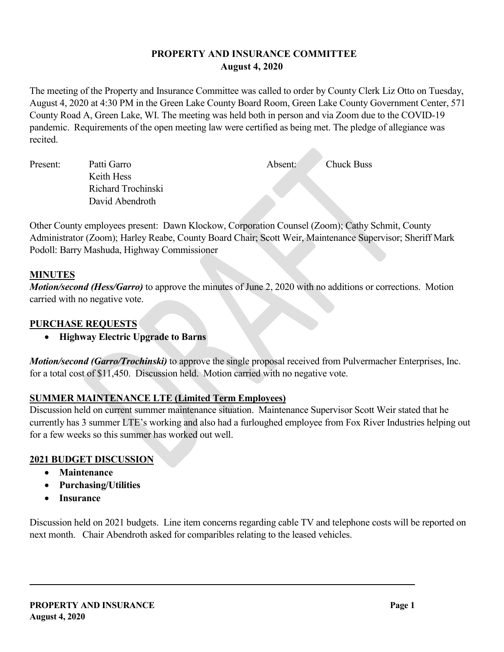#### **PROPERTY AND INSURANCE COMMITTEE August 4, 2020**

The meeting of the Property and Insurance Committee was called to order by County Clerk Liz Otto on Tuesday, August 4, 2020 at 4:30 PM in the Green Lake County Board Room, Green Lake County Government Center, 571 County Road A, Green Lake, WI. The meeting was held both in person and via Zoom due to the COVID-19 pandemic. Requirements of the open meeting law were certified as being met. The pledge of allegiance was recited.

Present: Patti Garro Absent: Chuck Buss Keith Hess Richard Trochinski David Abendroth

Other County employees present: Dawn Klockow, Corporation Counsel (Zoom); Cathy Schmit, County Administrator (Zoom); Harley Reabe, County Board Chair; Scott Weir, Maintenance Supervisor; Sheriff Mark Podoll: Barry Mashuda, Highway Commissioner

### **MINUTES**

*Motion/second (Hess/Garro)* to approve the minutes of June 2, 2020 with no additions or corrections. Motion carried with no negative vote.

#### **PURCHASE REQUESTS**

• **Highway Electric Upgrade to Barns**

*Motion/second (Garro/Trochinski)* to approve the single proposal received from Pulvermacher Enterprises, Inc. for a total cost of \$11,450. Discussion held. Motion carried with no negative vote.

### **SUMMER MAINTENANCE LTE (Limited Term Employees)**

Discussion held on current summer maintenance situation. Maintenance Supervisor Scott Weir stated that he currently has 3 summer LTE's working and also had a furloughed employee from Fox River Industries helping out for a few weeks so this summer has worked out well.

#### **2021 BUDGET DISCUSSION**

- **Maintenance**
- **Purchasing/Utilities**
- **Insurance**

Discussion held on 2021 budgets. Line item concerns regarding cable TV and telephone costs will be reported on next month. Chair Abendroth asked for comparibles relating to the leased vehicles.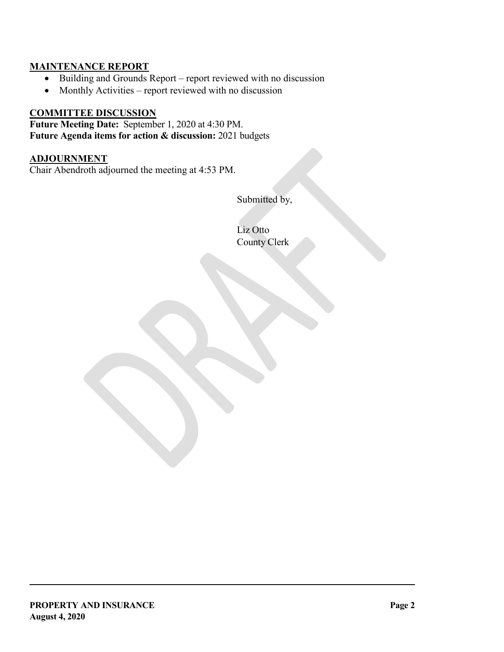### **MAINTENANCE REPORT**

- Building and Grounds Report report reviewed with no discussion
- Monthly Activities report reviewed with no discussion

#### **COMMITTEE DISCUSSION**

**Future Meeting Date:** September 1, 2020 at 4:30 PM. **Future Agenda items for action & discussion:** 2021 budgets

#### **ADJOURNMENT**

Chair Abendroth adjourned the meeting at 4:53 PM.

Submitted by,

Liz Otto County Clerk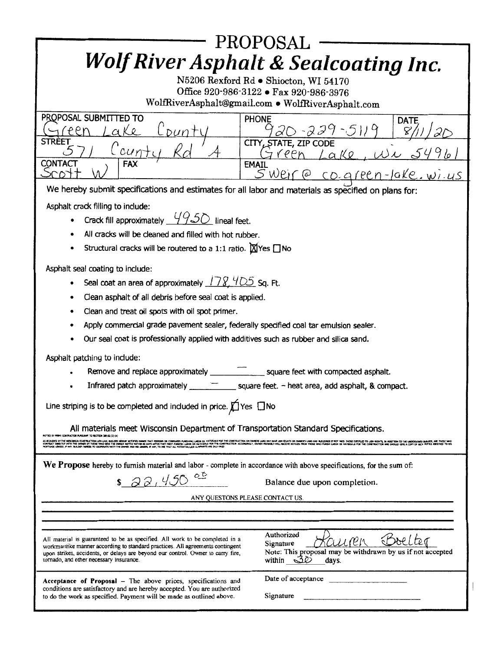| PROPOSAL<br><b>Wolf River Asphalt &amp; Sealcoating Inc.</b><br>N5206 Rexford Rd . Shiocton, WI 54170                                                                                                                                                                                          |                                                                                                                                     |  |  |
|------------------------------------------------------------------------------------------------------------------------------------------------------------------------------------------------------------------------------------------------------------------------------------------------|-------------------------------------------------------------------------------------------------------------------------------------|--|--|
| Office 920-986-3122 • Fax 920-986-3976<br>WolfRiverAsphalt@gmail.com . WolfRiverAsphalt.com                                                                                                                                                                                                    |                                                                                                                                     |  |  |
| PROPOSAL SUBMITTED TO<br>fPPn<br>AKR<br>DUN                                                                                                                                                                                                                                                    | <b>PHONE</b><br><b>DATE</b><br>20-229-5119                                                                                          |  |  |
| <b>STREET</b><br>L'oun                                                                                                                                                                                                                                                                         | CITY, STATE, ZIP CODE<br>$l$ ake, $Wv$ s<br>reen                                                                                    |  |  |
| <b>CONTACT</b><br><b>FAX</b>                                                                                                                                                                                                                                                                   | <b>EMAIL</b><br><u>SWeire co. green-lake. wi.us</u>                                                                                 |  |  |
| We hereby submit specifications and estimates for all labor and materials as specified on plans for:                                                                                                                                                                                           |                                                                                                                                     |  |  |
| Asphalt crack filling to include:                                                                                                                                                                                                                                                              |                                                                                                                                     |  |  |
| Crack fill approximately $4950$ lineal feet.                                                                                                                                                                                                                                                   |                                                                                                                                     |  |  |
| All cracks will be cleaned and filled with hot rubber.                                                                                                                                                                                                                                         |                                                                                                                                     |  |  |
| Structural cracks will be routered to a 1:1 ratio. $M$ Yes $\Box$ No                                                                                                                                                                                                                           |                                                                                                                                     |  |  |
| Asphalt seal coating to include:                                                                                                                                                                                                                                                               |                                                                                                                                     |  |  |
| Seal coat an area of approximately $178.405$ Sq. Ft.                                                                                                                                                                                                                                           |                                                                                                                                     |  |  |
| Clean asphalt of all debris before seal coat is applied.                                                                                                                                                                                                                                       |                                                                                                                                     |  |  |
| Clean and treat oil spots with oil spot primer.                                                                                                                                                                                                                                                |                                                                                                                                     |  |  |
| Apply commercial grade pavement sealer, federally specified coal tar emulsion sealer.<br>Our seal coat is professionally applied with additives such as rubber and silica sand.                                                                                                                |                                                                                                                                     |  |  |
|                                                                                                                                                                                                                                                                                                |                                                                                                                                     |  |  |
| Asphalt patching to include:<br>square feet with compacted asphalt.                                                                                                                                                                                                                            |                                                                                                                                     |  |  |
| Remove and replace approximately _<br>Infrared patch approximately<br>$\equiv$ square feet. - heat area, add asphalt, & compact.                                                                                                                                                               |                                                                                                                                     |  |  |
|                                                                                                                                                                                                                                                                                                |                                                                                                                                     |  |  |
| Line striping is to be completed and included in price. $\bigcap_{n=1}^{\infty}$ Yes $\bigcap_{n=1}^{\infty}$ No                                                                                                                                                                               |                                                                                                                                     |  |  |
| All materials meet Wisconsin Department of Transportation Standard Specifications.                                                                                                                                                                                                             |                                                                                                                                     |  |  |
| otice by Prime Contractor Pursuart to section 289.02 (2) (A)<br>A KORD IT THEORS CHEROTAULIUM, RUBHENT KITHS ONE THI FROM OURWERARDING A RUBHULL IN THE THORT OWNER WAS WANTED WHAT IN CHEROTHE UNIVERSITY THE THE THOSE INTERNATION OF LOOKING BARRADING INTO THE MAN WAS INTO THE UNIVERSITY |                                                                                                                                     |  |  |
| We Propose hereby to furnish material and labor - complete in accordance with above specifications, for the sum of:                                                                                                                                                                            |                                                                                                                                     |  |  |
| \$22,450<br>Balance due upon completion.                                                                                                                                                                                                                                                       |                                                                                                                                     |  |  |
| ANY OUESTONS PLEASE CONTACT US.                                                                                                                                                                                                                                                                |                                                                                                                                     |  |  |
|                                                                                                                                                                                                                                                                                                |                                                                                                                                     |  |  |
|                                                                                                                                                                                                                                                                                                |                                                                                                                                     |  |  |
| All material is guaranteed to be as specified. All work to be completed in a<br>workmanlike manner according to standard practices. All agreements contingent<br>upon strikes, accidents, or delays are beyond our control. Owner to carry fire,<br>tornado, and other necessary insurance.    | Authorized<br>The Lter<br>Kauren<br>Signature<br>Note: This proposal may be withdrawn by us if not accepted<br>within $30$<br>days. |  |  |
| Acceptance of Proposal - The above prices, specifications and                                                                                                                                                                                                                                  | Date of acceptance                                                                                                                  |  |  |
| conditions are satisfactory and are hereby accepted. You are authorized<br>to do the work as specified. Payment will be made as outlined above.                                                                                                                                                | Signature                                                                                                                           |  |  |
|                                                                                                                                                                                                                                                                                                |                                                                                                                                     |  |  |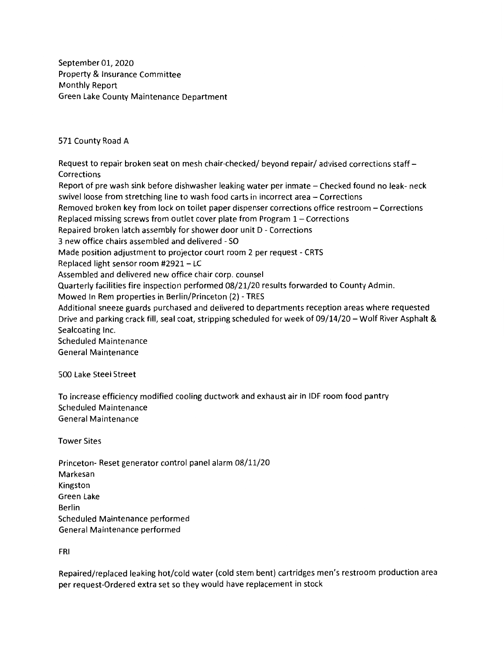September 01, 2020 Property & Insurance Committee Monthly Report Green Lake County Maintenance Department

571 County Road A

Request to repair broken seat on mesh chair-checked/ beyond repair/ advised corrections staff-Corrections Report of pre wash sink before dishwasher leaking water per inmate - Checked found no leak- neck swivel loose from stretching line to wash food carts in incorrect area - Corrections Removed broken key from lock on toilet paper dispenser corrections office restroom - Corrections Replaced missing screws from outlet cover plate from Program 1- Corrections Repaired broken latch assembly for shower door unit D - Corrections 3 new office chairs assembled and delivered - SO Made position adjustment to projector court room 2 per request - CRTS Replaced light sensor room  $#2921 - LC$ Assembled and delivered new office chair corp. counsel Quarterly facilities fire inspection performed 08/21/20 results forwarded to County Admin. Mowed In Rem properties in Berlin/Princeton (2) - TRES Additional sneeze guards purchased and delivered to departments reception areas where requested

Drive and parking crack fill, seal coat, stripping scheduled for week of 09/14/20 - Wolf River Asphalt & Sealcoating Inc.

Scheduled Maintenance General Maintenance

500 Lake Steel Street

To increase efficiency modified cooling ductwork and exhaust air in IDF room food pantry Scheduled Maintenance General Maintenance

Tower Sites

Princeton- Reset generator control panel alarm 08/11/20 Markesan Kingston Green Lake Berlin Scheduled Maintenance performed General Maintenance performed

FRI

Repaired/replaced leaking hot/cold water (cold stem bent) cartridges men's restroom production area per request-Ordered extra set so they would have replacement in stock